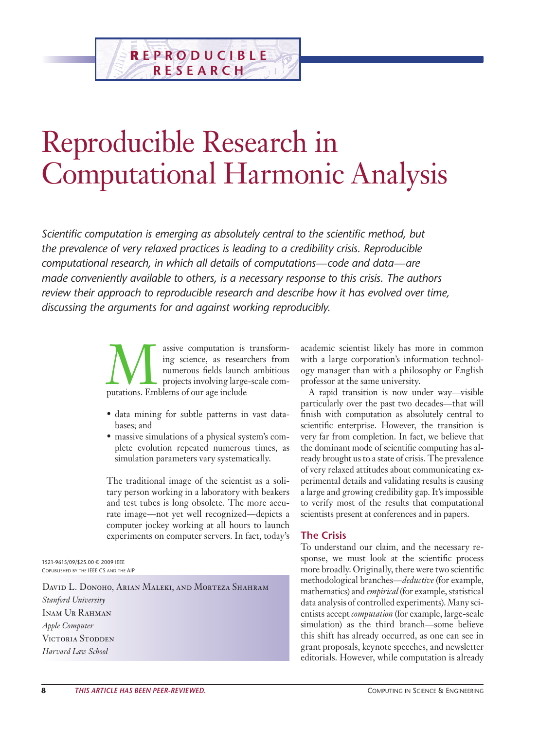# Reproducible Research in Computational Harmonic Analysis

*Scientific computation is emerging as absolutely central to the scientific method, but the prevalence of very relaxed practices is leading to a credibility crisis. Reproducible computational research, in which all details of computations—code and data—are made conveniently available to others, is a necessary response to this crisis. The authors review their approach to reproducible research and describe how it has evolved over time, discussing the arguments for and against working reproducibly.*

> assive computation is transforming science, as researchers from numerous fields launch ambitious projects involving large-scale computations. Emblems of our age include

**R e p r o d u c i b l e R esearch**

- • data mining for subtle patterns in vast databases; and
- massive simulations of a physical system's complete evolution repeated numerous times, as simulation parameters vary systematically.

The traditional image of the scientist as a solitary person working in a laboratory with beakers and test tubes is long obsolete. The more accurate image—not yet well recognized—depicts a computer jockey working at all hours to launch experiments on computer servers. In fact, today's

1521-9615/09/\$25.00 © 2009 IEEE Copublished by the IEEE CS and the AIP

David L. Donoho, Arian Maleki, and Morteza Shahram *Stanford University* INAM UR RAHMAN *Apple Computer* Victoria Stodden *Harvard Law School*

academic scientist likely has more in common with a large corporation's information technology manager than with a philosophy or English professor at the same university.

A rapid transition is now under way—visible particularly over the past two decades—that will finish with computation as absolutely central to scientific enterprise. However, the transition is very far from completion. In fact, we believe that the dominant mode of scientific computing has already brought us to a state of crisis. The prevalence of very relaxed attitudes about communicating experimental details and validating results is causing a large and growing credibility gap. It's impossible to verify most of the results that computational scientists present at conferences and in papers.

## **The Crisis**

To understand our claim, and the necessary response, we must look at the scientific process more broadly. Originally, there were two scientific methodological branches—*deductive* (for example, mathematics) and *empirical* (for example, statistical data analysis of controlled experiments). Many scientists accept *computation* (for example, large-scale simulation) as the third branch—some believe this shift has already occurred, as one can see in grant proposals, keynote speeches, and newsletter editorials. However, while computation is already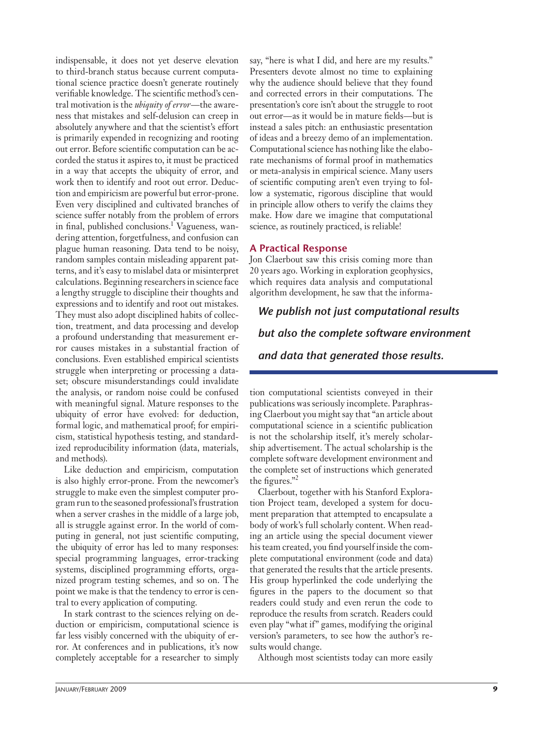indispensable, it does not yet deserve elevation to third-branch status because current computational science practice doesn't generate routinely verifiable knowledge. The scientific method's central motivation is the *ubiquity of error*—the awareness that mistakes and self-delusion can creep in absolutely anywhere and that the scientist's effort is primarily expended in recognizing and rooting out error. Before scientific computation can be accorded the status it aspires to, it must be practiced in a way that accepts the ubiquity of error, and work then to identify and root out error. Deduction and empiricism are powerful but error-prone. Even very disciplined and cultivated branches of science suffer notably from the problem of errors in final, published conclusions.<sup>1</sup> Vagueness, wandering attention, forgetfulness, and confusion can plague human reasoning. Data tend to be noisy, random samples contain misleading apparent patterns, and it's easy to mislabel data or misinterpret calculations. Beginning researchers in science face a lengthy struggle to discipline their thoughts and expressions and to identify and root out mistakes. They must also adopt disciplined habits of collection, treatment, and data processing and develop a profound understanding that measurement error causes mistakes in a substantial fraction of conclusions. Even established empirical scientists struggle when interpreting or processing a dataset; obscure misunderstandings could invalidate the analysis, or random noise could be confused with meaningful signal. Mature responses to the ubiquity of error have evolved: for deduction, formal logic, and mathematical proof; for empiricism, statistical hypothesis testing, and standardized reproducibility information (data, materials, and methods).

Like deduction and empiricism, computation is also highly error-prone. From the newcomer's struggle to make even the simplest computer program run to the seasoned professional's frustration when a server crashes in the middle of a large job, all is struggle against error. In the world of computing in general, not just scientific computing, the ubiquity of error has led to many responses: special programming languages, error-tracking systems, disciplined programming efforts, organized program testing schemes, and so on. The point we make is that the tendency to error is central to every application of computing.

In stark contrast to the sciences relying on deduction or empiricism, computational science is far less visibly concerned with the ubiquity of error. At conferences and in publications, it's now completely acceptable for a researcher to simply say, "here is what I did, and here are my results." Presenters devote almost no time to explaining why the audience should believe that they found and corrected errors in their computations. The presentation's core isn't about the struggle to root out error—as it would be in mature fields—but is instead a sales pitch: an enthusiastic presentation of ideas and a breezy demo of an implementation. Computational science has nothing like the elaborate mechanisms of formal proof in mathematics or meta-analysis in empirical science. Many users of scientific computing aren't even trying to follow a systematic, rigorous discipline that would in principle allow others to verify the claims they make. How dare we imagine that computational science, as routinely practiced, is reliable!

## **A Practical Response**

Jon Claerbout saw this crisis coming more than 20 years ago. Working in exploration geophysics, which requires data analysis and computational algorithm development, he saw that the informa-

*We publish not just computational results but also the complete software environment and data that generated those results.*

tion computational scientists conveyed in their publications was seriously incomplete. Paraphrasing Claerbout you might say that "an article about computational science in a scientific publication is not the scholarship itself, it's merely scholarship advertisement. The actual scholarship is the complete software development environment and the complete set of instructions which generated the figures."<sup>2</sup>

Claerbout, together with his Stanford Exploration Project team, developed a system for document preparation that attempted to encapsulate a body of work's full scholarly content. When reading an article using the special document viewer his team created, you find yourself inside the complete computational environment (code and data) that generated the results that the article presents. His group hyperlinked the code underlying the figures in the papers to the document so that readers could study and even rerun the code to reproduce the results from scratch. Readers could even play "what if" games, modifying the original version's parameters, to see how the author's results would change.

Although most scientists today can more easily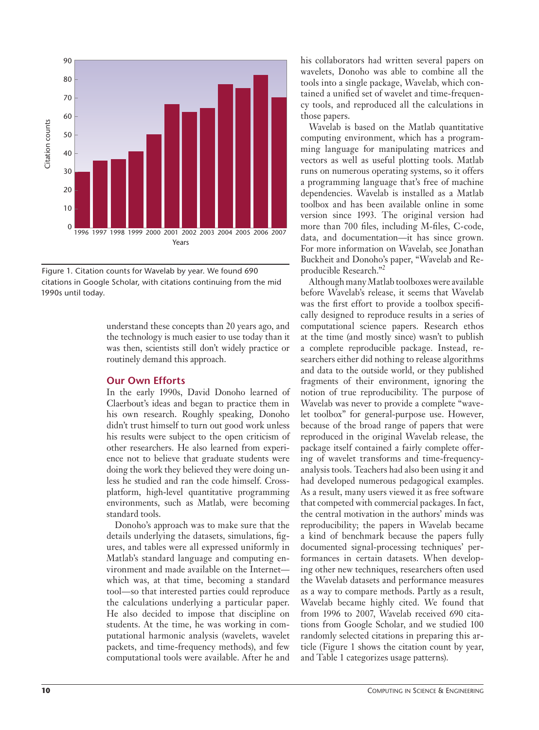

Figure 1. Citation counts for Wavelab by year. We found 690 citations in Google Scholar, with citations continuing from the mid 1990s until today.

understand these concepts than 20 years ago, and the technology is much easier to use today than it was then, scientists still don't widely practice or routinely demand this approach.

## **Our Own Efforts**

In the early 1990s, David Donoho learned of Claerbout's ideas and began to practice them in his own research. Roughly speaking, Donoho didn't trust himself to turn out good work unless his results were subject to the open criticism of other researchers. He also learned from experience not to believe that graduate students were doing the work they believed they were doing unless he studied and ran the code himself. Crossplatform, high-level quantitative programming environments, such as Matlab, were becoming standard tools.

Donoho's approach was to make sure that the details underlying the datasets, simulations, figures, and tables were all expressed uniformly in Matlab's standard language and computing environment and made available on the Internet which was, at that time, becoming a standard tool—so that interested parties could reproduce the calculations underlying a particular paper. He also decided to impose that discipline on students. At the time, he was working in computational harmonic analysis (wavelets, wavelet packets, and time-frequency methods), and few computational tools were available. After he and

his collaborators had written several papers on wavelets, Donoho was able to combine all the tools into a single package, Wavelab, which contained a unified set of wavelet and time-frequency tools, and reproduced all the calculations in those papers.

Wavelab is based on the Matlab quantitative computing environment, which has a programming language for manipulating matrices and vectors as well as useful plotting tools. Matlab runs on numerous operating systems, so it offers a programming language that's free of machine dependencies. Wavelab is installed as a Matlab toolbox and has been available online in some version since 1993. The original version had more than 700 files, including M-files, C-code, data, and documentation—it has since grown. For more information on Wavelab, see Jonathan Buckheit and Donoho's paper, "Wavelab and Reproducible Research."2

Although many Matlab toolboxes were available before Wavelab's release, it seems that Wavelab was the first effort to provide a toolbox specifically designed to reproduce results in a series of computational science papers. Research ethos at the time (and mostly since) wasn't to publish a complete reproducible package. Instead, researchers either did nothing to release algorithms and data to the outside world, or they published fragments of their environment, ignoring the notion of true reproducibility. The purpose of Wavelab was never to provide a complete "wavelet toolbox" for general-purpose use. However, because of the broad range of papers that were reproduced in the original Wavelab release, the package itself contained a fairly complete offering of wavelet transforms and time-frequencyanalysis tools. Teachers had also been using it and had developed numerous pedagogical examples. As a result, many users viewed it as free software that competed with commercial packages. In fact, the central motivation in the authors' minds was reproducibility; the papers in Wavelab became a kind of benchmark because the papers fully documented signal-processing techniques' performances in certain datasets. When developing other new techniques, researchers often used the Wavelab datasets and performance measures as a way to compare methods. Partly as a result, Wavelab became highly cited. We found that from 1996 to 2007, Wavelab received 690 citations from Google Scholar, and we studied 100 randomly selected citations in preparing this article (Figure 1 shows the citation count by year, and Table 1 categorizes usage patterns).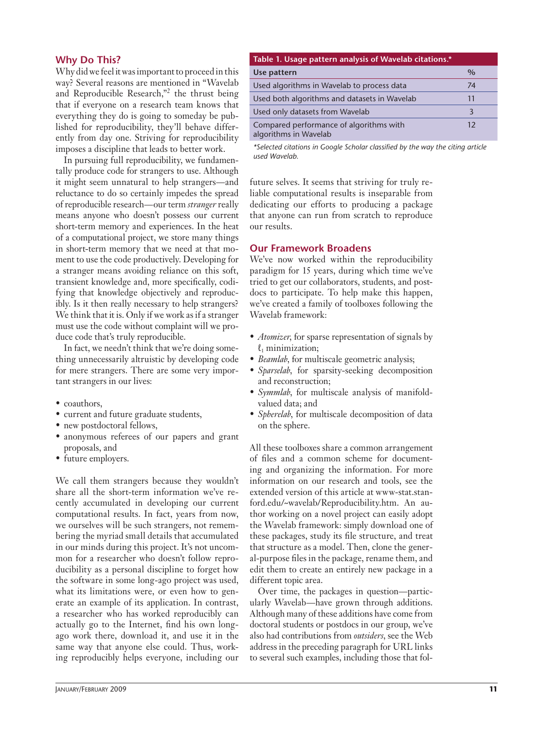## **Why Do This?**

Why did we feel it was important to proceed in this way? Several reasons are mentioned in "Wavelab and Reproducible Research,"<sup>2</sup> the thrust being that if everyone on a research team knows that everything they do is going to someday be published for reproducibility, they'll behave differently from day one. Striving for reproducibility imposes a discipline that leads to better work.

In pursuing full reproducibility, we fundamentally produce code for strangers to use. Although it might seem unnatural to help strangers—and reluctance to do so certainly impedes the spread of reproducible research—our term *stranger* really means anyone who doesn't possess our current short-term memory and experiences. In the heat of a computational project, we store many things in short-term memory that we need at that moment to use the code productively. Developing for a stranger means avoiding reliance on this soft, transient knowledge and, more specifically, codifying that knowledge objectively and reproducibly. Is it then really necessary to help strangers? We think that it is. Only if we work as if a stranger must use the code without complaint will we produce code that's truly reproducible.

In fact, we needn't think that we're doing something unnecessarily altruistic by developing code for mere strangers. There are some very important strangers in our lives:

- coauthors,
- • current and future graduate students,
- new postdoctoral fellows,
- • anonymous referees of our papers and grant proposals, and
- future employers.

We call them strangers because they wouldn't share all the short-term information we've recently accumulated in developing our current computational results. In fact, years from now, we ourselves will be such strangers, not remembering the myriad small details that accumulated in our minds during this project. It's not uncommon for a researcher who doesn't follow reproducibility as a personal discipline to forget how the software in some long-ago project was used, what its limitations were, or even how to generate an example of its application. In contrast, a researcher who has worked reproducibly can actually go to the Internet, find his own longago work there, download it, and use it in the same way that anyone else could. Thus, working reproducibly helps everyone, including our

| Table 1. Usage pattern analysis of Wavelab citations.*           |               |
|------------------------------------------------------------------|---------------|
| Use pattern                                                      | $\frac{0}{0}$ |
| Used algorithms in Wavelab to process data                       | 74            |
| Used both algorithms and datasets in Wavelab                     | 11            |
| Used only datasets from Wavelab                                  |               |
| Compared performance of algorithms with<br>algorithms in Wavelab | 12            |

*\*Selected citations in Google Scholar classified by the way the citing article used Wavelab.*

future selves. It seems that striving for truly reliable computational results is inseparable from dedicating our efforts to producing a package that anyone can run from scratch to reproduce our results.

## **Our Framework Broadens**

We've now worked within the reproducibility paradigm for 15 years, during which time we've tried to get our collaborators, students, and postdocs to participate. To help make this happen, we've created a family of toolboxes following the Wavelab framework:

- *Atomizer*, for sparse representation of signals by  $\ell_1$  minimization;
- *Beamlab*, for multiscale geometric analysis;
- • *Sparselab*, for sparsity-seeking decomposition and reconstruction;
- • *Symmlab*, for multiscale analysis of manifoldvalued data; and
- • *Spherelab*, for multiscale decomposition of data on the sphere.

All these toolboxes share a common arrangement of files and a common scheme for documenting and organizing the information. For more information on our research and tools, see the extended version of this article at www-stat.stanford.edu/~wavelab/Reproducibility.htm. An author working on a novel project can easily adopt the Wavelab framework: simply download one of these packages, study its file structure, and treat that structure as a model. Then, clone the general-purpose files in the package, rename them, and edit them to create an entirely new package in a different topic area.

Over time, the packages in question—particularly Wavelab—have grown through additions. Although many of these additions have come from doctoral students or postdocs in our group, we've also had contributions from *outsiders*, see the Web address in the preceding paragraph for URL links to several such examples, including those that fol-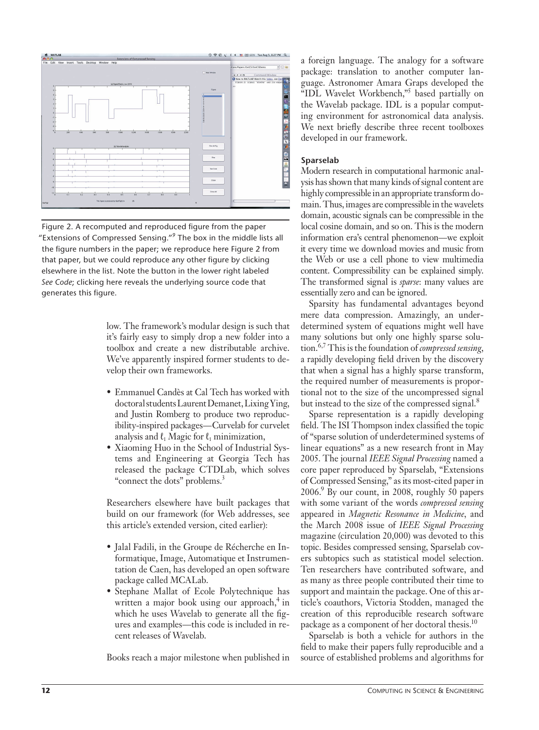

Figure 2. A recomputed and reproduced figure from the paper "Extensions of Compressed Sensing."*<sup>9</sup>* The box in the middle lists all the figure numbers in the paper; we reproduce here Figure 2 from that paper, but we could reproduce any other figure by clicking elsewhere in the list. Note the button in the lower right labeled *See Code*; clicking here reveals the underlying source code that generates this figure.

low. The framework's modular design is such that it's fairly easy to simply drop a new folder into a toolbox and create a new distributable archive. We've apparently inspired former students to develop their own frameworks.

- Emmanuel Candès at Cal Tech has worked with doctoral students Laurent Demanet, Lixing Ying, and Justin Romberg to produce two reproducibility-inspired packages—Curvelab for curvelet analysis and  $\ell_1$  Magic for  $\ell_1$  minimization,
- Xiaoming Huo in the School of Industrial Systems and Engineering at Georgia Tech has released the package CTDLab, which solves "connect the dots" problems.<sup>3</sup>

Researchers elsewhere have built packages that build on our framework (for Web addresses, see this article's extended version, cited earlier):

- • Jalal Fadili, in the Groupe de Récherche en Informatique, Image, Automatique et Instrumentation de Caen, has developed an open software package called MCALab.
- • Stephane Mallat of Ecole Polytechnique has written a major book using our approach, $4$  in which he uses Wavelab to generate all the figures and examples—this code is included in recent releases of Wavelab.

Books reach a major milestone when published in

a foreign language. The analogy for a software package: translation to another computer language. Astronomer Amara Graps developed the "IDL Wavelet Workbench,"5 based partially on the Wavelab package. IDL is a popular computing environment for astronomical data analysis. We next briefly describe three recent toolboxes developed in our framework.

## **Sparselab**

Modern research in computational harmonic analysis has shown that many kinds of signal content are highly compressible in an appropriate transform domain. Thus, images are compressible in the wavelets domain, acoustic signals can be compressible in the local cosine domain, and so on. This is the modern information era's central phenomenon—we exploit it every time we download movies and music from the Web or use a cell phone to view multimedia content. Compressibility can be explained simply. The transformed signal is *sparse*: many values are essentially zero and can be ignored.

Sparsity has fundamental advantages beyond mere data compression. Amazingly, an underdetermined system of equations might well have many solutions but only one highly sparse solution.6,7 This is the foundation of *compressed sensing*, a rapidly developing field driven by the discovery that when a signal has a highly sparse transform, the required number of measurements is proportional not to the size of the uncompressed signal but instead to the size of the compressed signal.<sup>8</sup>

Sparse representation is a rapidly developing field. The ISI Thompson index classified the topic of "sparse solution of underdetermined systems of linear equations" as a new research front in May 2005. The journal *IEEE Signal Processing* named a core paper reproduced by Sparselab, "Extensions of Compressed Sensing," as its most-cited paper in 2006.9 By our count, in 2008, roughly 50 papers with some variant of the words *compressed sensing* appeared in *Magnetic Resonance in Medicine*, and the March 2008 issue of *IEEE Signal Processing* magazine (circulation 20,000) was devoted to this topic. Besides compressed sensing, Sparselab covers subtopics such as statistical model selection. Ten researchers have contributed software, and as many as three people contributed their time to support and maintain the package. One of this article's coauthors, Victoria Stodden, managed the creation of this reproducible research software package as a component of her doctoral thesis.<sup>10</sup>

Sparselab is both a vehicle for authors in the field to make their papers fully reproducible and a source of established problems and algorithms for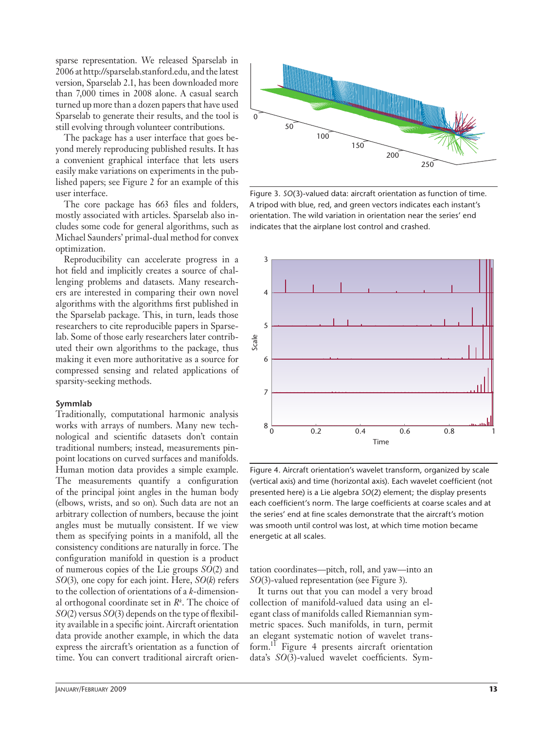sparse representation. We released Sparselab in 2006 at http://sparselab.stanford.edu, and the latest version, Sparselab 2.1, has been downloaded more than 7,000 times in 2008 alone. A casual search turned up more than a dozen papers that have used Sparselab to generate their results, and the tool is still evolving through volunteer contributions.

The package has a user interface that goes beyond merely reproducing published results. It has a convenient graphical interface that lets users easily make variations on experiments in the published papers; see Figure 2 for an example of this user interface.

The core package has 663 files and folders, mostly associated with articles. Sparselab also includes some code for general algorithms, such as Michael Saunders' primal-dual method for convex optimization.

Reproducibility can accelerate progress in a hot field and implicitly creates a source of challenging problems and datasets. Many researchers are interested in comparing their own novel algorithms with the algorithms first published in the Sparselab package. This, in turn, leads those researchers to cite reproducible papers in Sparselab. Some of those early researchers later contributed their own algorithms to the package, thus making it even more authoritative as a source for compressed sensing and related applications of sparsity-seeking methods.

#### **Symmlab**

Traditionally, computational harmonic analysis works with arrays of numbers. Many new technological and scientific datasets don't contain traditional numbers; instead, measurements pinpoint locations on curved surfaces and manifolds. Human motion data provides a simple example. The measurements quantify a configuration of the principal joint angles in the human body (elbows, wrists, and so on). Such data are not an arbitrary collection of numbers, because the joint angles must be mutually consistent. If we view them as specifying points in a manifold, all the consistency conditions are naturally in force. The configuration manifold in question is a product of numerous copies of the Lie groups *SO*(2) and *SO*(3)*,* one copy for each joint. Here, *SO*(*k*) refers to the collection of orientations of a *k*-dimensional orthogonal coordinate set in *Rk* . The choice of *SO*(2) versus *SO*(3) depends on the type of flexibility available in a specific joint. Aircraft orientation data provide another example, in which the data express the aircraft's orientation as a function of time. You can convert traditional aircraft orien-



Figure 3. *SO*(3)-valued data: aircraft orientation as function of time. A tripod with blue, red, and green vectors indicates each instant's orientation. The wild variation in orientation near the series' end indicates that the airplane lost control and crashed.



Figure 4. Aircraft orientation's wavelet transform, organized by scale (vertical axis) and time (horizontal axis). Each wavelet coefficient (not presented here) is a Lie algebra *SO*(2) element; the display presents each coefficient's norm. The large coefficients at coarse scales and at the series' end at fine scales demonstrate that the aircraft's motion was smooth until control was lost, at which time motion became energetic at all scales.

tation coordinates—pitch, roll, and yaw—into an *SO*(3)*-*valued representation (see Figure 3).

It turns out that you can model a very broad collection of manifold-valued data using an elegant class of manifolds called Riemannian symmetric spaces. Such manifolds, in turn, permit an elegant systematic notion of wavelet transform.11 Figure 4 presents aircraft orientation data's *SO*(3)-valued wavelet coefficients. Sym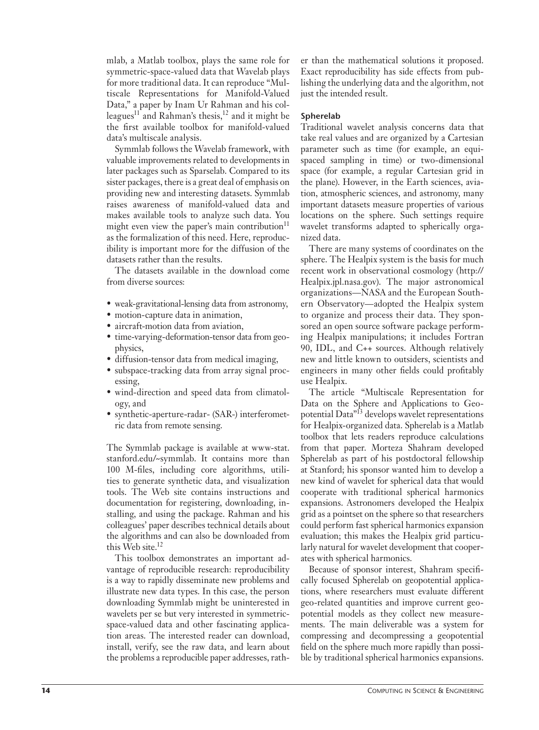mlab, a Matlab toolbox, plays the same role for symmetric-space-valued data that Wavelab plays for more traditional data. It can reproduce "Multiscale Representations for Manifold-Valued Data," a paper by Inam Ur Rahman and his colleagues<sup>11</sup> and Rahman's thesis,<sup>12</sup> and it might be the first available toolbox for manifold-valued data's multiscale analysis.

Symmlab follows the Wavelab framework, with valuable improvements related to developments in later packages such as Sparselab. Compared to its sister packages, there is a great deal of emphasis on providing new and interesting datasets. Symmlab raises awareness of manifold-valued data and makes available tools to analyze such data. You might even view the paper's main contribution $<sup>11</sup>$ </sup> as the formalization of this need. Here, reproducibility is important more for the diffusion of the datasets rather than the results.

The datasets available in the download come from diverse sources:

- • weak-gravitational-lensing data from astronomy,
- motion-capture data in animation,
- • aircraft-motion data from aviation,
- time-varying-deformation-tensor data from geophysics,
- • diffusion-tensor data from medical imaging,
- subspace-tracking data from array signal processing,
- wind-direction and speed data from climatology, and
- synthetic-aperture-radar- (SAR-) interferometric data from remote sensing.

The Symmlab package is available at www-stat. stanford.edu/~symmlab. It contains more than 100 M-files, including core algorithms, utilities to generate synthetic data, and visualization tools. The Web site contains instructions and documentation for registering, downloading, installing, and using the package. Rahman and his colleagues' paper describes technical details about the algorithms and can also be downloaded from this Web site.<sup>12</sup>

This toolbox demonstrates an important advantage of reproducible research: reproducibility is a way to rapidly disseminate new problems and illustrate new data types. In this case, the person downloading Symmlab might be uninterested in wavelets per se but very interested in symmetricspace-valued data and other fascinating application areas. The interested reader can download, install, verify, see the raw data, and learn about the problems a reproducible paper addresses, rather than the mathematical solutions it proposed. Exact reproducibility has side effects from publishing the underlying data and the algorithm, not just the intended result.

#### **Spherelab**

Traditional wavelet analysis concerns data that take real values and are organized by a Cartesian parameter such as time (for example, an equispaced sampling in time) or two-dimensional space (for example, a regular Cartesian grid in the plane). However, in the Earth sciences, aviation, atmospheric sciences, and astronomy, many important datasets measure properties of various locations on the sphere. Such settings require wavelet transforms adapted to spherically organized data.

There are many systems of coordinates on the sphere. The Healpix system is the basis for much recent work in observational cosmology (http:// Healpix.jpl.nasa.gov). The major astronomical organizations—NASA and the European Southern Observatory—adopted the Healpix system to organize and process their data. They sponsored an open source software package performing Healpix manipulations; it includes Fortran 90, IDL, and C++ sources. Although relatively new and little known to outsiders, scientists and engineers in many other fields could profitably use Healpix.

The article "Multiscale Representation for Data on the Sphere and Applications to Geopotential Data"<sup>13</sup> develops wavelet representations for Healpix-organized data. Spherelab is a Matlab toolbox that lets readers reproduce calculations from that paper. Morteza Shahram developed Spherelab as part of his postdoctoral fellowship at Stanford; his sponsor wanted him to develop a new kind of wavelet for spherical data that would cooperate with traditional spherical harmonics expansions. Astronomers developed the Healpix grid as a pointset on the sphere so that researchers could perform fast spherical harmonics expansion evaluation; this makes the Healpix grid particularly natural for wavelet development that cooperates with spherical harmonics.

Because of sponsor interest, Shahram specifically focused Spherelab on geopotential applications, where researchers must evaluate different geo-related quantities and improve current geopotential models as they collect new measurements. The main deliverable was a system for compressing and decompressing a geopotential field on the sphere much more rapidly than possible by traditional spherical harmonics expansions.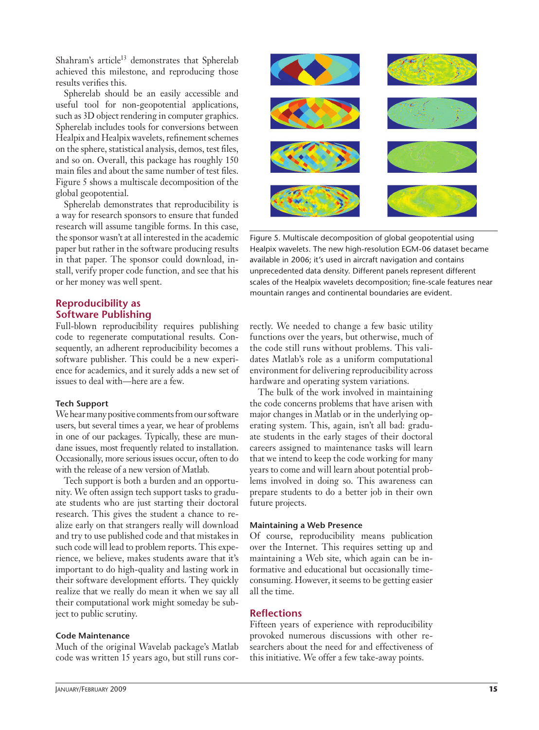Shahram's article $^{13}$  demonstrates that Spherelab achieved this milestone, and reproducing those results verifies this.

Spherelab should be an easily accessible and useful tool for non-geopotential applications, such as 3D object rendering in computer graphics. Spherelab includes tools for conversions between Healpix and Healpix wavelets, refinement schemes on the sphere, statistical analysis, demos, test files, and so on. Overall, this package has roughly 150 main files and about the same number of test files. Figure 5 shows a multiscale decomposition of the global geopotential.

Spherelab demonstrates that reproducibility is a way for research sponsors to ensure that funded research will assume tangible forms. In this case, the sponsor wasn't at all interested in the academic paper but rather in the software producing results in that paper. The sponsor could download, install, verify proper code function, and see that his or her money was well spent.

# **Reproducibility as Software Publishing**

Full-blown reproducibility requires publishing code to regenerate computational results. Consequently, an adherent reproducibility becomes a software publisher. This could be a new experience for academics, and it surely adds a new set of issues to deal with—here are a few.

## **Tech Support**

We hear many positive comments from our software users, but several times a year, we hear of problems in one of our packages. Typically, these are mundane issues, most frequently related to installation. Occasionally, more serious issues occur, often to do with the release of a new version of Matlab.

Tech support is both a burden and an opportunity. We often assign tech support tasks to graduate students who are just starting their doctoral research. This gives the student a chance to realize early on that strangers really will download and try to use published code and that mistakes in such code will lead to problem reports. This experience, we believe, makes students aware that it's important to do high-quality and lasting work in their software development efforts. They quickly realize that we really do mean it when we say all their computational work might someday be subject to public scrutiny.

## **Code Maintenance**

Much of the original Wavelab package's Matlab code was written 15 years ago, but still runs cor-



Figure 5. Multiscale decomposition of global geopotential using Healpix wavelets. The new high-resolution EGM-06 dataset became available in 2006; it's used in aircraft navigation and contains unprecedented data density. Different panels represent different scales of the Healpix wavelets decomposition; fine-scale features near mountain ranges and continental boundaries are evident.

rectly. We needed to change a few basic utility functions over the years, but otherwise, much of the code still runs without problems. This validates Matlab's role as a uniform computational environment for delivering reproducibility across hardware and operating system variations.

The bulk of the work involved in maintaining the code concerns problems that have arisen with major changes in Matlab or in the underlying operating system. This, again, isn't all bad: graduate students in the early stages of their doctoral careers assigned to maintenance tasks will learn that we intend to keep the code working for many years to come and will learn about potential problems involved in doing so. This awareness can prepare students to do a better job in their own future projects.

#### **Maintaining a Web Presence**

Of course, reproducibility means publication over the Internet. This requires setting up and maintaining a Web site, which again can be informative and educational but occasionally timeconsuming. However, it seems to be getting easier all the time.

## **Reflections**

Fifteen years of experience with reproducibility provoked numerous discussions with other researchers about the need for and effectiveness of this initiative. We offer a few take-away points.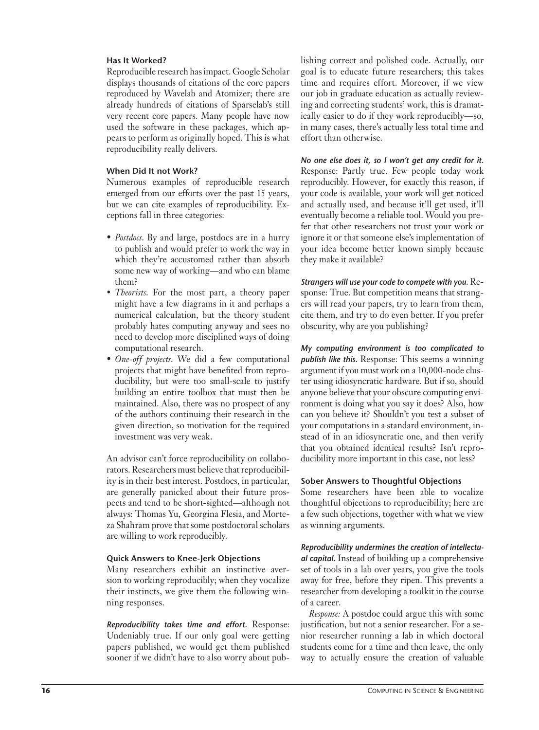## **Has It Worked?**

Reproducible research has impact. Google Scholar displays thousands of citations of the core papers reproduced by Wavelab and Atomizer; there are already hundreds of citations of Sparselab's still very recent core papers. Many people have now used the software in these packages, which appears to perform as originally hoped. This is what reproducibility really delivers.

#### **When Did It not Work?**

Numerous examples of reproducible research emerged from our efforts over the past 15 years, but we can cite examples of reproducibility. Exceptions fall in three categories:

- • *Postdocs*. By and large, postdocs are in a hurry to publish and would prefer to work the way in which they're accustomed rather than absorb some new way of working—and who can blame them?
- • *Theorists*. For the most part, a theory paper might have a few diagrams in it and perhaps a numerical calculation, but the theory student probably hates computing anyway and sees no need to develop more disciplined ways of doing computational research.
- • *One-off projects*. We did a few computational projects that might have benefited from reproducibility, but were too small-scale to justify building an entire toolbox that must then be maintained. Also, there was no prospect of any of the authors continuing their research in the given direction, so motivation for the required investment was very weak.

An advisor can't force reproducibility on collaborators. Researchers must believe that reproducibility is in their best interest. Postdocs, in particular, are generally panicked about their future prospects and tend to be short-sighted—although not always: Thomas Yu, Georgina Flesia, and Morteza Shahram prove that some postdoctoral scholars are willing to work reproducibly.

#### **Quick Answers to Knee-Jerk Objections**

Many researchers exhibit an instinctive aversion to working reproducibly; when they vocalize their instincts, we give them the following winning responses.

*Reproducibility takes time and effort.* Response: Undeniably true. If our only goal were getting papers published, we would get them published sooner if we didn't have to also worry about publishing correct and polished code. Actually, our goal is to educate future researchers; this takes time and requires effort. Moreover, if we view our job in graduate education as actually reviewing and correcting students' work, this is dramatically easier to do if they work reproducibly—so, in many cases, there's actually less total time and effort than otherwise.

*No one else does it, so I won't get any credit for it.*  Response: Partly true. Few people today work reproducibly. However, for exactly this reason, if your code is available, your work will get noticed and actually used, and because it'll get used, it'll eventually become a reliable tool. Would you prefer that other researchers not trust your work or ignore it or that someone else's implementation of your idea become better known simply because they make it available?

*Strangers will use your code to compete with you.* Response: True. But competition means that strangers will read your papers, try to learn from them, cite them, and try to do even better. If you prefer obscurity, why are you publishing?

*My computing environment is too complicated to publish like this.* Response: This seems a winning argument if you must work on a 10,000-node cluster using idiosyncratic hardware. But if so, should anyone believe that your obscure computing environment is doing what you say it does? Also, how can you believe it? Shouldn't you test a subset of your computations in a standard environment, instead of in an idiosyncratic one, and then verify that you obtained identical results? Isn't reproducibility more important in this case, not less?

#### **Sober Answers to Thoughtful Objections**

Some researchers have been able to vocalize thoughtful objections to reproducibility; here are a few such objections, together with what we view as winning arguments.

*Reproducibility undermines the creation of intellectual capital.* Instead of building up a comprehensive set of tools in a lab over years, you give the tools away for free, before they ripen. This prevents a researcher from developing a toolkit in the course of a career.

*Response:* A postdoc could argue this with some justification, but not a senior researcher. For a senior researcher running a lab in which doctoral students come for a time and then leave, the only way to actually ensure the creation of valuable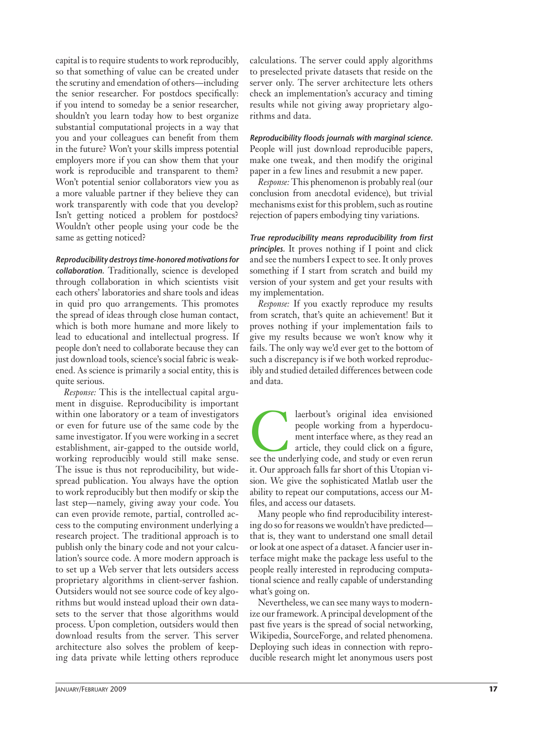capital is to require students to work reproducibly, so that something of value can be created under the scrutiny and emendation of others—including the senior researcher. For postdocs specifically: if you intend to someday be a senior researcher, shouldn't you learn today how to best organize substantial computational projects in a way that you and your colleagues can benefit from them in the future? Won't your skills impress potential employers more if you can show them that your work is reproducible and transparent to them? Won't potential senior collaborators view you as a more valuable partner if they believe they can work transparently with code that you develop? Isn't getting noticed a problem for postdocs? Wouldn't other people using your code be the same as getting noticed?

#### *Reproducibility destroys time-honored motivations for collaboration.* Traditionally, science is developed

through collaboration in which scientists visit each others' laboratories and share tools and ideas in quid pro quo arrangements. This promotes the spread of ideas through close human contact, which is both more humane and more likely to lead to educational and intellectual progress. If people don't need to collaborate because they can just download tools, science's social fabric is weakened. As science is primarily a social entity, this is quite serious.

*Response:* This is the intellectual capital argument in disguise. Reproducibility is important within one laboratory or a team of investigators or even for future use of the same code by the same investigator. If you were working in a secret establishment, air-gapped to the outside world, working reproducibly would still make sense. The issue is thus not reproducibility, but widespread publication. You always have the option to work reproducibly but then modify or skip the last step—namely, giving away your code. You can even provide remote, partial, controlled access to the computing environment underlying a research project. The traditional approach is to publish only the binary code and not your calculation's source code. A more modern approach is to set up a Web server that lets outsiders access proprietary algorithms in client-server fashion. Outsiders would not see source code of key algorithms but would instead upload their own datasets to the server that those algorithms would process. Upon completion, outsiders would then download results from the server. This server architecture also solves the problem of keeping data private while letting others reproduce

calculations. The server could apply algorithms to preselected private datasets that reside on the server only. The server architecture lets others check an implementation's accuracy and timing results while not giving away proprietary algorithms and data.

*Reproducibility floods journals with marginal science.*  People will just download reproducible papers, make one tweak, and then modify the original paper in a few lines and resubmit a new paper.

*Response:* This phenomenon is probably real (our conclusion from anecdotal evidence), but trivial mechanisms exist for this problem, such as routine rejection of papers embodying tiny variations.

*True reproducibility means reproducibility from first principles.* It proves nothing if I point and click and see the numbers I expect to see. It only proves something if I start from scratch and build my version of your system and get your results with my implementation.

*Response:* If you exactly reproduce my results from scratch, that's quite an achievement! But it proves nothing if your implementation fails to give my results because we won't know why it fails. The only way we'd ever get to the bottom of such a discrepancy is if we both worked reproducibly and studied detailed differences between code and data.

aerbout's original idea envisioned<br>
people working from a hyperdocu-<br>
ment interface where, as they read an<br>
article, they could click on a figure,<br>
see the underlying code, and study or even rerun people working from a hyperdocument interface where, as they read an article, they could click on a figure, it. Our approach falls far short of this Utopian vision. We give the sophisticated Matlab user the ability to repeat our computations, access our Mfiles, and access our datasets.

Many people who find reproducibility interesting do so for reasons we wouldn't have predicted that is, they want to understand one small detail or look at one aspect of a dataset. A fancier user interface might make the package less useful to the people really interested in reproducing computational science and really capable of understanding what's going on.

Nevertheless, we can see many ways to modernize our framework. A principal development of the past five years is the spread of social networking, Wikipedia, SourceForge, and related phenomena. Deploying such ideas in connection with reproducible research might let anonymous users post